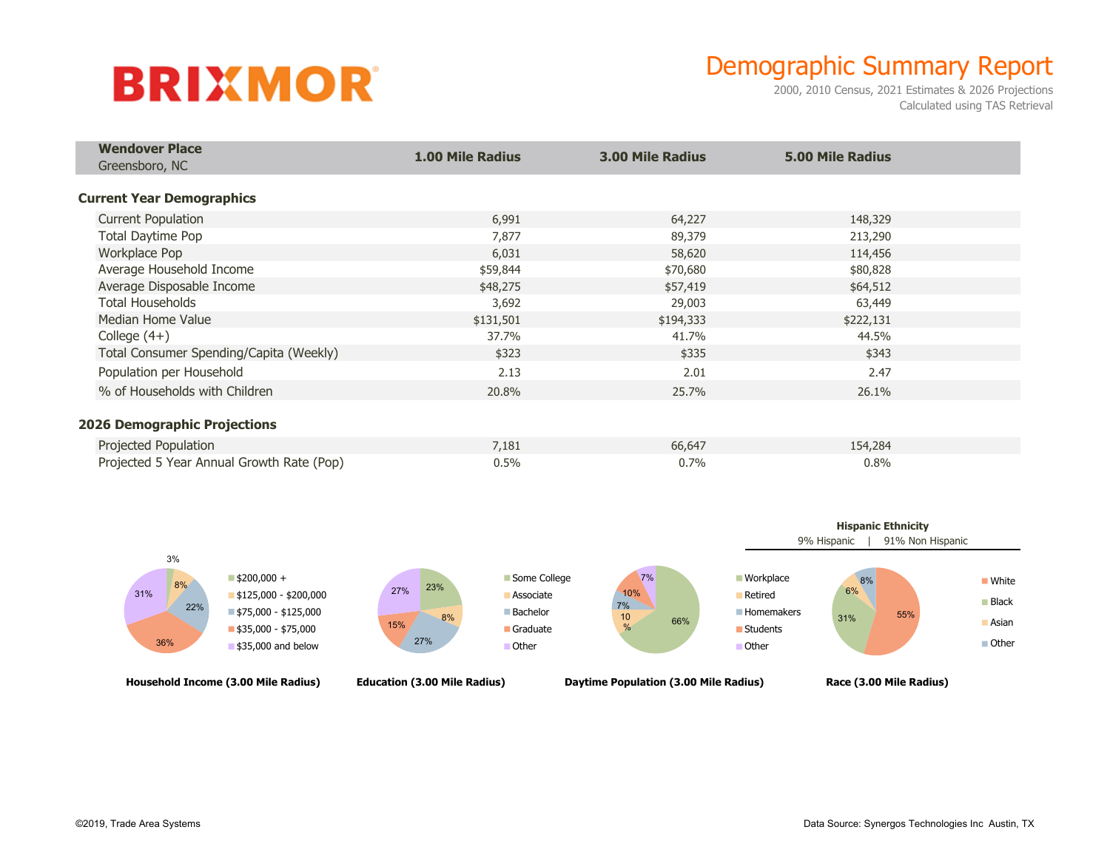# **BRIXMOR**

## Demographic Summary Report

2000, 2010 Census, 2021 Estimates & 2026 Projections Calculated using TAS Retrieval

| <b>Wendover Place</b><br>Greensboro, NC   | <b>1.00 Mile Radius</b> | 3.00 Mile Radius | <b>5.00 Mile Radius</b> |  |
|-------------------------------------------|-------------------------|------------------|-------------------------|--|
|                                           |                         |                  |                         |  |
|                                           |                         |                  |                         |  |
| <b>Current Year Demographics</b>          |                         |                  |                         |  |
| <b>Current Population</b>                 | 6,991                   | 64,227           | 148,329                 |  |
| Total Daytime Pop                         | 7,877                   | 89,379           | 213,290                 |  |
| Workplace Pop                             | 6,031                   | 58,620           | 114,456                 |  |
| Average Household Income                  | \$59,844                | \$70,680         | \$80,828                |  |
| Average Disposable Income                 | \$48,275                | \$57,419         | \$64,512                |  |
| <b>Total Households</b>                   | 3,692                   | 29,003           | 63,449                  |  |
| Median Home Value                         | \$131,501               | \$194,333        | \$222,131               |  |
| College $(4+)$                            | 37.7%                   | 41.7%            | 44.5%                   |  |
| Total Consumer Spending/Capita (Weekly)   | \$323                   | \$335            | \$343                   |  |
| Population per Household                  | 2.13                    | 2.01             | 2.47                    |  |
| % of Households with Children             | 20.8%                   | 25.7%            | 26.1%                   |  |
|                                           |                         |                  |                         |  |
| <b>2026 Demographic Projections</b>       |                         |                  |                         |  |
| Projected Population                      | 7,181                   | 66,647           | 154,284                 |  |
| Projected 5 Year Annual Growth Rate (Pop) | 0.5%                    | 0.7%             | 0.8%                    |  |